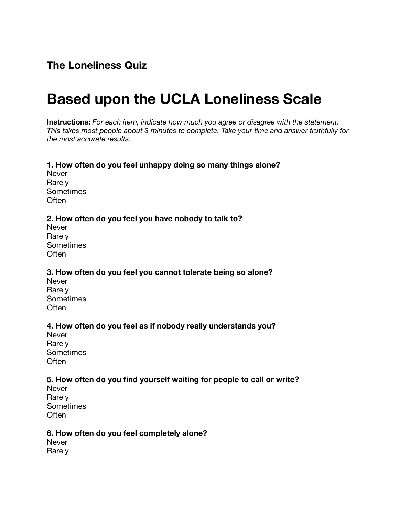# **Based upon the UCLA Loneliness Scale**

**Instructions:** *For each item, indicate how much you agree or disagree with the statement. This takes most people about 3 minutes to complete. Take your time and answer truthfully for the most accurate results.*

#### **1. How often do you feel unhappy doing so many things alone?** Never Rarely **Sometimes Often**

## **2. How often do you feel you have nobody to talk to?**

Never Rarely Sometimes **Often** 

**3. How often do you feel you cannot tolerate being so alone?** Never

Rarely Sometimes **Often** 

#### **4. How often do you feel as if nobody really understands you?**

Never Rarely Sometimes **Often** 

#### **5. How often do you find yourself waiting for people to call or write?**

Never Rarely Sometimes Often

#### **6. How often do you feel completely alone?**

Never Rarely